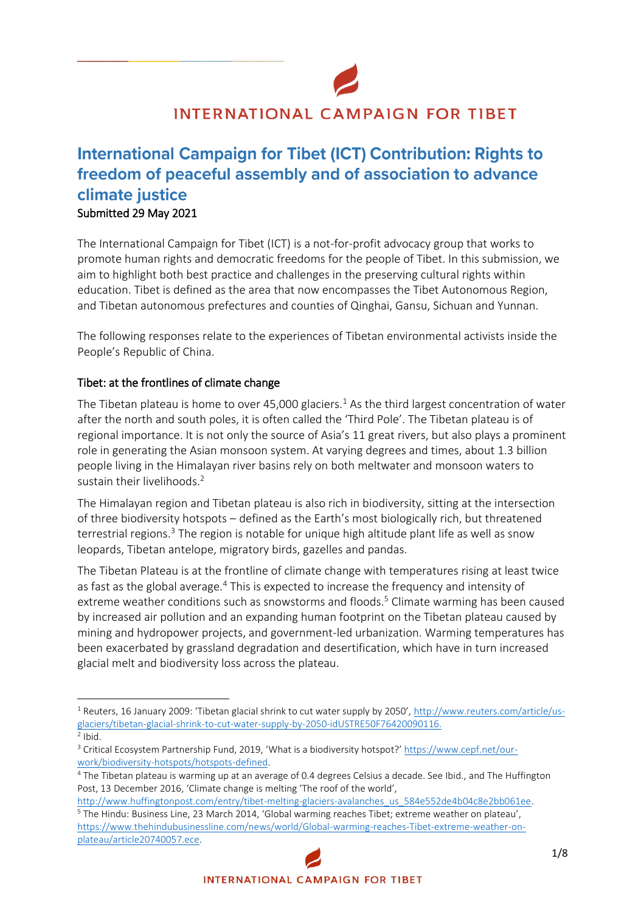

# **INTERNATIONAL CAMPAIGN FOR TIBET**

# **International Campaign for Tibet (ICT) Contribution: Rights to** freedom of peaceful assembly and of association to advance climate justice Submitted 29 May 2021

**\_\_\_\_\_\_\_\_\_\_\_\_\_\_\_\_**

The International Campaign for Tibet (ICT) is a not-for-profit advocacy group that works to promote human rights and democratic freedoms for the people of Tibet. In this submission, we aim to highlight both best practice and challenges in the preserving cultural rights within education. Tibet is defined as the area that now encompasses the Tibet Autonomous Region, and Tibetan autonomous prefectures and counties of Qinghai, Gansu, Sichuan and Yunnan.

The following responses relate to the experiences of Tibetan environmental activists inside the People's Republic of China.

## Tibet: at the frontlines of climate change

The Tibetan plateau is home to over 45,000 glaciers.<sup>1</sup> As the third largest concentration of water after the north and south poles, it is often called the 'Third Pole'. The Tibetan plateau is of regional importance. It is not only the source of Asia's 11 great rivers, but also plays a prominent role in generating the Asian monsoon system. At varying degrees and times, about 1.3 billion people living in the Himalayan river basins rely on both meltwater and monsoon waters to sustain their livelihoods.<sup>2</sup>

The Himalayan region and Tibetan plateau is also rich in biodiversity, sitting at the intersection of three biodiversity hotspots – defined as the Earth's most biologically rich, but threatened terrestrial regions.<sup>3</sup> The region is notable for unique high altitude plant life as well as snow leopards, Tibetan antelope, migratory birds, gazelles and pandas.

The Tibetan Plateau is at the frontline of climate change with temperatures rising at least twice as fast as the global average.<sup>4</sup> This is expected to increase the frequency and intensity of extreme weather conditions such as snowstorms and floods.<sup>5</sup> Climate warming has been caused by increased air pollution and an expanding human footprint on the Tibetan plateau caused by mining and hydropower projects, and government-led urbanization. Warming temperatures has been exacerbated by grassland degradation and desertification, which have in turn increased glacial melt and biodiversity loss across the plateau.

<sup>1</sup> Reuters, 16 January 2009: 'Tibetan glacial shrink to cut water supply by 2050', [http://www.reuters.com/article/us](http://www.reuters.com/article/us-glaciers/tibetan-glacial-shrink-to-cut-water-supply-by-2050-idUSTRE50F76420090116)[glaciers/tibetan-glacial-shrink-to-cut-water-supply-by-2050-idUSTRE50F76420090116.](http://www.reuters.com/article/us-glaciers/tibetan-glacial-shrink-to-cut-water-supply-by-2050-idUSTRE50F76420090116)

 $2$  Ibid.

<sup>&</sup>lt;sup>3</sup> Critical Ecosystem Partnership Fund, 2019, 'What is a biodiversity hotspot?' [https://www.cepf.net/our](https://www.cepf.net/our-work/biodiversity-hotspots/hotspots-defined)[work/biodiversity-hotspots/hotspots-defined.](https://www.cepf.net/our-work/biodiversity-hotspots/hotspots-defined)

<sup>&</sup>lt;sup>4</sup> The Tibetan plateau is warming up at an average of 0.4 degrees Celsius a decade. See Ibid., and The Huffington Post, 13 December 2016, 'Climate change is melting 'The roof of the world',

[http://www.huffingtonpost.com/entry/tibet-melting-glaciers-avalanches\\_us\\_584e552de4b04c8e2bb061ee.](http://www.huffingtonpost.com/entry/tibet-melting-glaciers-avalanches_us_584e552de4b04c8e2bb061ee) <sup>5</sup> The Hindu: Business Line, 23 March 2014, 'Global warming reaches Tibet; extreme weather on plateau', [https://www.thehindubusinessline.com/news/world/Global-warming-reaches-Tibet-extreme-weather-on](https://www.thehindubusinessline.com/news/world/Global-warming-reaches-Tibet-extreme-weather-on-plateau/article20740057.ece)[plateau/article20740057.ece.](https://www.thehindubusinessline.com/news/world/Global-warming-reaches-Tibet-extreme-weather-on-plateau/article20740057.ece)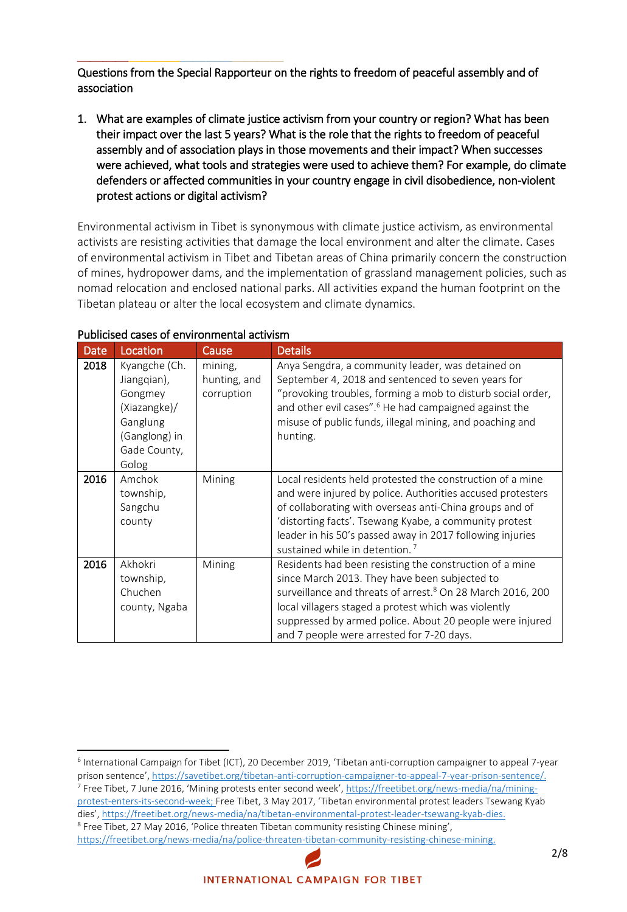Questions from the Special Rapporteur on the rights to freedom of peaceful assembly and of association

1. What are examples of climate justice activism from your country or region? What has been their impact over the last 5 years? What is the role that the rights to freedom of peaceful assembly and of association plays in those movements and their impact? When successes were achieved, what tools and strategies were used to achieve them? For example, do climate defenders or affected communities in your country engage in civil disobedience, non-violent protest actions or digital activism?

Environmental activism in Tibet is synonymous with climate justice activism, as environmental activists are resisting activities that damage the local environment and alter the climate. Cases of environmental activism in Tibet and Tibetan areas of China primarily concern the construction of mines, hydropower dams, and the implementation of grassland management policies, such as nomad relocation and enclosed national parks. All activities expand the human footprint on the Tibetan plateau or alter the local ecosystem and climate dynamics.

| <b>Date</b> | Location                                                                                                      | Cause                                 | <b>Details</b>                                                                                                                                                                                                                                                                                                                                          |
|-------------|---------------------------------------------------------------------------------------------------------------|---------------------------------------|---------------------------------------------------------------------------------------------------------------------------------------------------------------------------------------------------------------------------------------------------------------------------------------------------------------------------------------------------------|
| 2018        | Kyangche (Ch.<br>Jiangqian),<br>Gongmey<br>(Xiazangke)/<br>Ganglung<br>(Ganglong) in<br>Gade County,<br>Golog | mining,<br>hunting, and<br>corruption | Anya Sengdra, a community leader, was detained on<br>September 4, 2018 and sentenced to seven years for<br>"provoking troubles, forming a mob to disturb social order,<br>and other evil cases". <sup>6</sup> He had campaigned against the<br>misuse of public funds, illegal mining, and poaching and<br>hunting.                                     |
| 2016        | Amchok<br>township,<br>Sangchu<br>county                                                                      | Mining                                | Local residents held protested the construction of a mine<br>and were injured by police. Authorities accused protesters<br>of collaborating with overseas anti-China groups and of<br>'distorting facts'. Tsewang Kyabe, a community protest<br>leader in his 50's passed away in 2017 following injuries<br>sustained while in detention. <sup>7</sup> |
| 2016        | Akhokri<br>township,<br>Chuchen<br>county, Ngaba                                                              | Mining                                | Residents had been resisting the construction of a mine<br>since March 2013. They have been subjected to<br>surveillance and threats of arrest. <sup>8</sup> On 28 March 2016, 200<br>local villagers staged a protest which was violently<br>suppressed by armed police. About 20 people were injured<br>and 7 people were arrested for 7-20 days.     |

#### Publicised cases of environmental activism

 $\overline{\phantom{a}}$ 

**\_\_\_\_\_\_\_\_\_\_\_\_\_\_\_\_**

<sup>8</sup> Free Tibet, 27 May 2016, 'Police threaten Tibetan community resisting Chinese mining',

[https://freetibet.org/news-media/na/police-threaten-tibetan-community-resisting-chinese-mining.](https://freetibet.org/news-media/na/police-threaten-tibetan-community-resisting-chinese-mining)

<sup>&</sup>lt;sup>6</sup> International Campaign for Tibet (ICT), 20 December 2019, 'Tibetan anti-corruption campaigner to appeal 7-year prison sentence', [https://savetibet.org/tibetan-anti-corruption-campaigner-to-appeal-7-year-prison-sentence/.](https://savetibet.org/tibetan-anti-corruption-campaigner-to-appeal-7-year-prison-sentence/) <sup>7</sup> Free Tibet, 7 June 2016, 'Mining protests enter second week', [https://freetibet.org/news-media/na/mining](https://freetibet.org/news-media/na/mining-protest-enters-its-second-week)[protest-enters-its-second-week;](https://freetibet.org/news-media/na/mining-protest-enters-its-second-week) Free Tibet, 3 May 2017, 'Tibetan environmental protest leaders Tsewang Kyab dies', [https://freetibet.org/news-media/na/tibetan-environmental-protest-leader-tsewang-kyab-dies.](https://freetibet.org/news-media/na/tibetan-environmental-protest-leader-tsewang-kyab-dies)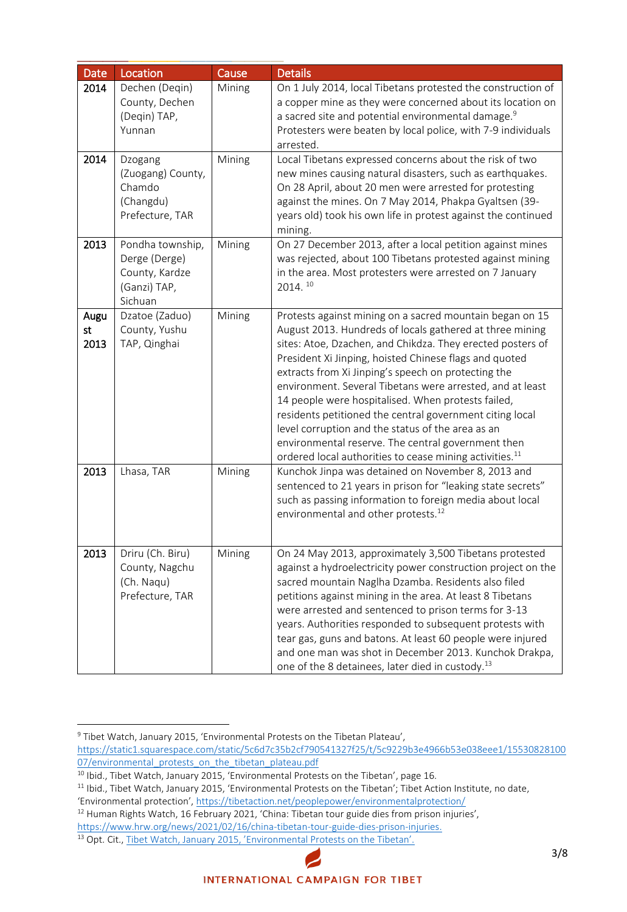| <b>Date</b>        | Location                                                                       | Cause  | <b>Details</b>                                                                                                                                                                                                                                                                                                                                                                                                                                                                                                                                                                                                                                                       |
|--------------------|--------------------------------------------------------------------------------|--------|----------------------------------------------------------------------------------------------------------------------------------------------------------------------------------------------------------------------------------------------------------------------------------------------------------------------------------------------------------------------------------------------------------------------------------------------------------------------------------------------------------------------------------------------------------------------------------------------------------------------------------------------------------------------|
| 2014               | Dechen (Deqin)<br>County, Dechen<br>(Degin) TAP,<br>Yunnan                     | Mining | On 1 July 2014, local Tibetans protested the construction of<br>a copper mine as they were concerned about its location on<br>a sacred site and potential environmental damage. <sup>9</sup><br>Protesters were beaten by local police, with 7-9 individuals<br>arrested.                                                                                                                                                                                                                                                                                                                                                                                            |
| 2014               | Dzogang<br>(Zuogang) County,<br>Chamdo<br>(Changdu)<br>Prefecture, TAR         | Mining | Local Tibetans expressed concerns about the risk of two<br>new mines causing natural disasters, such as earthquakes.<br>On 28 April, about 20 men were arrested for protesting<br>against the mines. On 7 May 2014, Phakpa Gyaltsen (39-<br>years old) took his own life in protest against the continued<br>mining.                                                                                                                                                                                                                                                                                                                                                 |
| 2013               | Pondha township,<br>Derge (Derge)<br>County, Kardze<br>(Ganzi) TAP,<br>Sichuan | Mining | On 27 December 2013, after a local petition against mines<br>was rejected, about 100 Tibetans protested against mining<br>in the area. Most protesters were arrested on 7 January<br>2014. 10                                                                                                                                                                                                                                                                                                                                                                                                                                                                        |
| Augu<br>st<br>2013 | Dzatoe (Zaduo)<br>County, Yushu<br>TAP, Qinghai                                | Mining | Protests against mining on a sacred mountain began on 15<br>August 2013. Hundreds of locals gathered at three mining<br>sites: Atoe, Dzachen, and Chikdza. They erected posters of<br>President Xi Jinping, hoisted Chinese flags and quoted<br>extracts from Xi Jinping's speech on protecting the<br>environment. Several Tibetans were arrested, and at least<br>14 people were hospitalised. When protests failed,<br>residents petitioned the central government citing local<br>level corruption and the status of the area as an<br>environmental reserve. The central government then<br>ordered local authorities to cease mining activities. <sup>11</sup> |
| 2013               | Lhasa, TAR                                                                     | Mining | Kunchok Jinpa was detained on November 8, 2013 and<br>sentenced to 21 years in prison for "leaking state secrets"<br>such as passing information to foreign media about local<br>environmental and other protests. <sup>12</sup>                                                                                                                                                                                                                                                                                                                                                                                                                                     |
| 2013               | Driru (Ch. Biru)<br>County, Nagchu<br>(Ch. Naqu)<br>Prefecture, TAR            | Mining | On 24 May 2013, approximately 3,500 Tibetans protested<br>against a hydroelectricity power construction project on the<br>sacred mountain Naglha Dzamba. Residents also filed<br>petitions against mining in the area. At least 8 Tibetans<br>were arrested and sentenced to prison terms for 3-13<br>years. Authorities responded to subsequent protests with<br>tear gas, guns and batons. At least 60 people were injured<br>and one man was shot in December 2013. Kunchok Drakpa,<br>one of the 8 detainees, later died in custody. <sup>13</sup>                                                                                                               |

<sup>9</sup> Tibet Watch, January 2015, 'Environmental Protests on the Tibetan Plateau', [https://static1.squarespace.com/static/5c6d7c35b2cf790541327f25/t/5c9229b3e4966b53e038eee1/15530828100](https://static1.squarespace.com/static/5c6d7c35b2cf790541327f25/t/5c9229b3e4966b53e038eee1/1553082810007/environmental_protests_on_the_tibetan_plateau.pdf) 07/environmental protests on the tibetan plateau.pdf

 $10$  Ibid., Tibet Watch, January 2015, 'Environmental Protests on the Tibetan', page 16.

<sup>&</sup>lt;sup>11</sup> Ibid., Tibet Watch, January 2015, 'Environmental Protests on the Tibetan'; Tibet Action Institute, no date, 'Environmental protection', <https://tibetaction.net/peoplepower/environmentalprotection/>

<sup>&</sup>lt;sup>12</sup> Human Rights Watch, 16 February 2021, 'China: Tibetan tour guide dies from prison injuries',

[https://www.hrw.org/news/2021/02/16/china-tibetan-tour-guide-dies-prison-injuries.](https://www.hrw.org/news/2021/02/16/china-tibetan-tour-guide-dies-prison-injuries)

<sup>&</sup>lt;sup>13</sup> Opt. Cit., Tibet Watch, January 2015, 'Environmental Protests on the Tibetan'.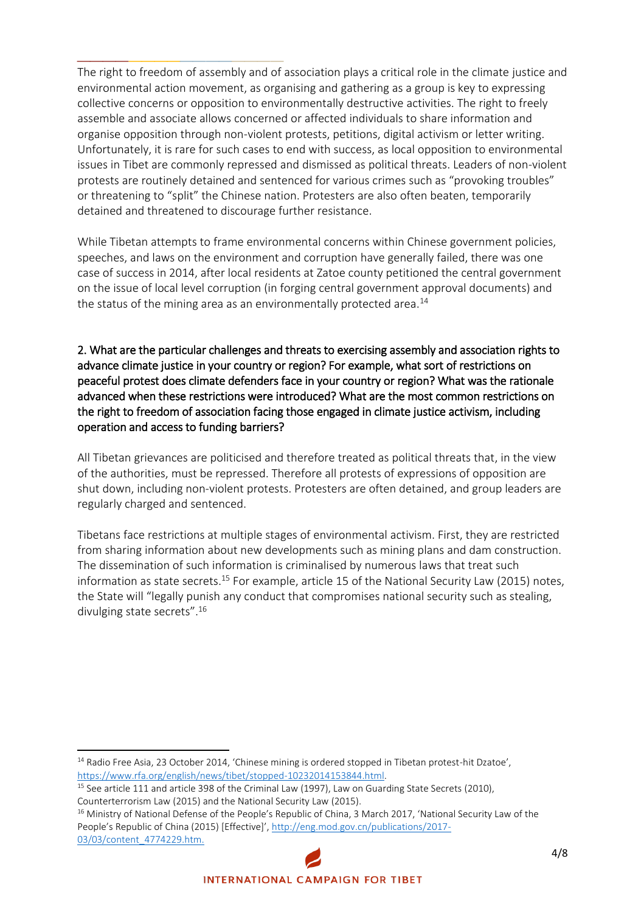The right to freedom of assembly and of association plays a critical role in the climate justice and environmental action movement, as organising and gathering as a group is key to expressing collective concerns or opposition to environmentally destructive activities. The right to freely assemble and associate allows concerned or affected individuals to share information and organise opposition through non-violent protests, petitions, digital activism or letter writing. Unfortunately, it is rare for such cases to end with success, as local opposition to environmental issues in Tibet are commonly repressed and dismissed as political threats. Leaders of non-violent protests are routinely detained and sentenced for various crimes such as "provoking troubles" or threatening to "split" the Chinese nation. Protesters are also often beaten, temporarily detained and threatened to discourage further resistance.

**\_\_\_\_\_\_\_\_\_\_\_\_\_\_\_\_**

While Tibetan attempts to frame environmental concerns within Chinese government policies, speeches, and laws on the environment and corruption have generally failed, there was one case of success in 2014, after local residents at Zatoe county petitioned the central government on the issue of local level corruption (in forging central government approval documents) and the status of the mining area as an environmentally protected area. $14$ 

2. What are the particular challenges and threats to exercising assembly and association rights to advance climate justice in your country or region? For example, what sort of restrictions on peaceful protest does climate defenders face in your country or region? What was the rationale advanced when these restrictions were introduced? What are the most common restrictions on the right to freedom of association facing those engaged in climate justice activism, including operation and access to funding barriers?

All Tibetan grievances are politicised and therefore treated as political threats that, in the view of the authorities, must be repressed. Therefore all protests of expressions of opposition are shut down, including non-violent protests. Protesters are often detained, and group leaders are regularly charged and sentenced.

Tibetans face restrictions at multiple stages of environmental activism. First, they are restricted from sharing information about new developments such as mining plans and dam construction. The dissemination of such information is criminalised by numerous laws that treat such information as state secrets.<sup>15</sup> For example, article 15 of the National Security Law (2015) notes, the State will "legally punish any conduct that compromises national security such as stealing, divulging state secrets".<sup>16</sup>

<sup>&</sup>lt;sup>14</sup> Radio Free Asia, 23 October 2014, 'Chinese mining is ordered stopped in Tibetan protest-hit Dzatoe', [https://www.rfa.org/english/news/tibet/stopped-10232014153844.html.](https://www.rfa.org/english/news/tibet/stopped-10232014153844.html) 

<sup>&</sup>lt;sup>15</sup> See article 111 and article 398 of the Criminal Law (1997), Law on Guarding State Secrets (2010), Counterterrorism Law (2015) and the National Security Law (2015).

<sup>&</sup>lt;sup>16</sup> Ministry of National Defense of the People's Republic of China, 3 March 2017, 'National Security Law of the People's Republic of China (2015) [Effective]', [http://eng.mod.gov.cn/publications/2017-](http://eng.mod.gov.cn/publications/2017-03/03/content_4774229.htm) [03/03/content\\_4774229.htm.](http://eng.mod.gov.cn/publications/2017-03/03/content_4774229.htm)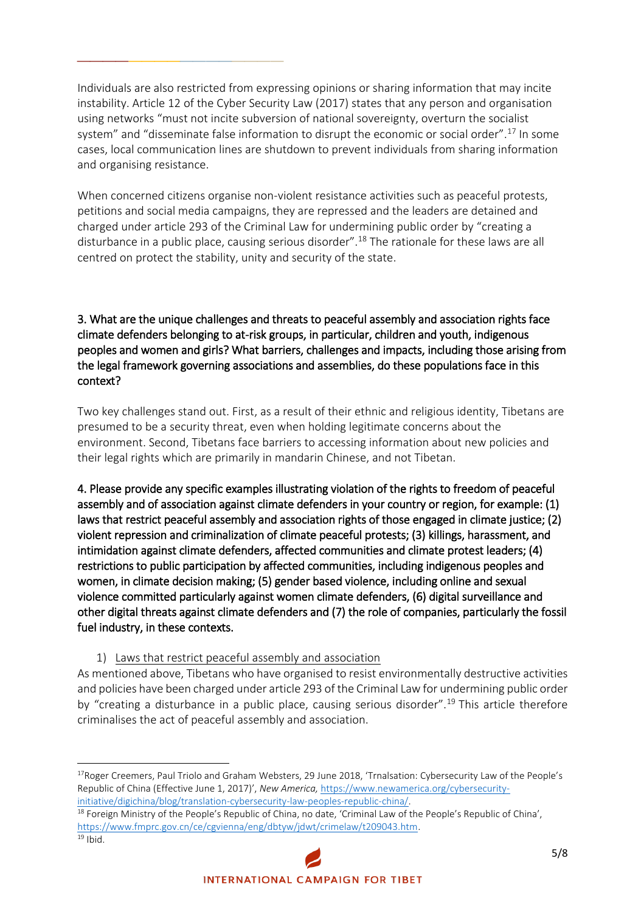Individuals are also restricted from expressing opinions or sharing information that may incite instability. Article 12 of the Cyber Security Law (2017) states that any person and organisation using networks "must not incite subversion of national sovereignty, overturn the socialist system" and "disseminate false information to disrupt the economic or social order".<sup>17</sup> In some cases, local communication lines are shutdown to prevent individuals from sharing information and organising resistance.

**\_\_\_\_\_\_\_\_\_\_\_\_\_\_\_\_**

When concerned citizens organise non-violent resistance activities such as peaceful protests, petitions and social media campaigns, they are repressed and the leaders are detained and charged under article 293 of the Criminal Law for undermining public order by "creating a disturbance in a public place, causing serious disorder".<sup>18</sup> The rationale for these laws are all centred on protect the stability, unity and security of the state.

## 3. What are the unique challenges and threats to peaceful assembly and association rights face climate defenders belonging to at-risk groups, in particular, children and youth, indigenous peoples and women and girls? What barriers, challenges and impacts, including those arising from the legal framework governing associations and assemblies, do these populations face in this context?

Two key challenges stand out. First, as a result of their ethnic and religious identity, Tibetans are presumed to be a security threat, even when holding legitimate concerns about the environment. Second, Tibetans face barriers to accessing information about new policies and their legal rights which are primarily in mandarin Chinese, and not Tibetan.

4. Please provide any specific examples illustrating violation of the rights to freedom of peaceful assembly and of association against climate defenders in your country or region, for example: (1) laws that restrict peaceful assembly and association rights of those engaged in climate justice; (2) violent repression and criminalization of climate peaceful protests; (3) killings, harassment, and intimidation against climate defenders, affected communities and climate protest leaders; (4) restrictions to public participation by affected communities, including indigenous peoples and women, in climate decision making; (5) gender based violence, including online and sexual violence committed particularly against women climate defenders, (6) digital surveillance and other digital threats against climate defenders and (7) the role of companies, particularly the fossil fuel industry, in these contexts.

## 1) Laws that restrict peaceful assembly and association

As mentioned above, Tibetans who have organised to resist environmentally destructive activities and policies have been charged under article 293 of the Criminal Law for undermining public order by "creating a disturbance in a public place, causing serious disorder".<sup>19</sup> This article therefore criminalises the act of peaceful assembly and association.

<sup>18</sup> Foreign Ministry of the People's Republic of China, no date, 'Criminal Law of the People's Republic of China', [https://www.fmprc.gov.cn/ce/cgvienna/eng/dbtyw/jdwt/crimelaw/t209043.htm.](https://www.fmprc.gov.cn/ce/cgvienna/eng/dbtyw/jdwt/crimelaw/t209043.htm)

l

<sup>&</sup>lt;sup>17</sup>Roger Creemers, Paul Triolo and Graham Websters, 29 June 2018, 'Trnalsation: Cybersecurity Law of the People's Republic of China (Effective June 1, 2017)', *New America,* [https://www.newamerica.org/cybersecurity](https://www.newamerica.org/cybersecurity-initiative/digichina/blog/translation-cybersecurity-law-peoples-republic-china/)[initiative/digichina/blog/translation-cybersecurity-law-peoples-republic-china/.](https://www.newamerica.org/cybersecurity-initiative/digichina/blog/translation-cybersecurity-law-peoples-republic-china/)

 $19$  Ibid.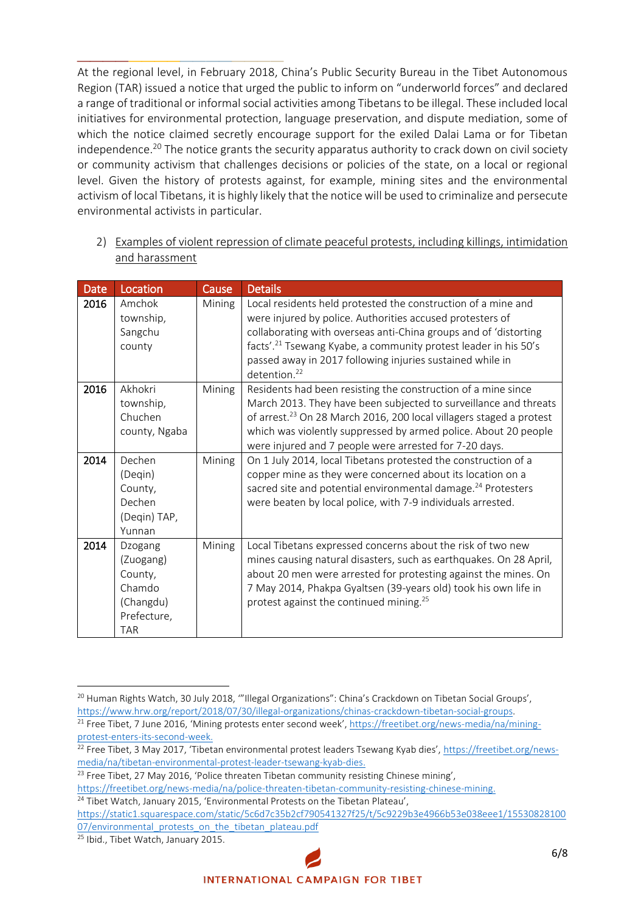At the regional level, in February 2018, China's Public Security Bureau in the Tibet Autonomous Region (TAR) issued a notice that urged the public to inform on "underworld forces" and declared a range of traditional or informal social activities among Tibetans to be illegal. These included local initiatives for environmental protection, language preservation, and dispute mediation, some of which the notice claimed secretly encourage support for the exiled Dalai Lama or for Tibetan independence.<sup>20</sup> The notice grants the security apparatus authority to crack down on civil society or community activism that challenges decisions or policies of the state, on a local or regional level. Given the history of protests against, for example, mining sites and the environmental activism of local Tibetans, it is highly likely that the notice will be used to criminalize and persecute environmental activists in particular.

**\_\_\_\_\_\_\_\_\_\_\_\_\_\_\_\_**

2) Examples of violent repression of climate peaceful protests, including killings, intimidation and harassment

| <b>Date</b> | Location                                                                            | Cause  | <b>Details</b>                                                                                                                                                                                                                                                                                                                                                         |
|-------------|-------------------------------------------------------------------------------------|--------|------------------------------------------------------------------------------------------------------------------------------------------------------------------------------------------------------------------------------------------------------------------------------------------------------------------------------------------------------------------------|
| 2016        | Amchok<br>township,<br>Sangchu<br>county                                            | Mining | Local residents held protested the construction of a mine and<br>were injured by police. Authorities accused protesters of<br>collaborating with overseas anti-China groups and of 'distorting<br>facts'. <sup>21</sup> Tsewang Kyabe, a community protest leader in his 50's<br>passed away in 2017 following injuries sustained while in<br>detention. <sup>22</sup> |
| 2016        | Akhokri<br>township,<br>Chuchen<br>county, Ngaba                                    | Mining | Residents had been resisting the construction of a mine since<br>March 2013. They have been subjected to surveillance and threats<br>of arrest. <sup>23</sup> On 28 March 2016, 200 local villagers staged a protest<br>which was violently suppressed by armed police. About 20 people<br>were injured and 7 people were arrested for 7-20 days.                      |
| 2014        | Dechen<br>(Degin)<br>County,<br>Dechen<br>(Degin) TAP,<br>Yunnan                    | Mining | On 1 July 2014, local Tibetans protested the construction of a<br>copper mine as they were concerned about its location on a<br>sacred site and potential environmental damage. <sup>24</sup> Protesters<br>were beaten by local police, with 7-9 individuals arrested.                                                                                                |
| 2014        | Dzogang<br>(Zuogang)<br>County,<br>Chamdo<br>(Changdu)<br>Prefecture,<br><b>TAR</b> | Mining | Local Tibetans expressed concerns about the risk of two new<br>mines causing natural disasters, such as earthquakes. On 28 April,<br>about 20 men were arrested for protesting against the mines. On<br>7 May 2014, Phakpa Gyaltsen (39-years old) took his own life in<br>protest against the continued mining. <sup>25</sup>                                         |

 $\overline{a}$ 

<sup>&</sup>lt;sup>20</sup> Human Rights Watch, 30 July 2018, "'Illegal Organizations": China's Crackdown on Tibetan Social Groups', [https://www.hrw.org/report/2018/07/30/illegal-organizations/chinas-crackdown-tibetan-social-groups.](https://www.hrw.org/report/2018/07/30/illegal-organizations/chinas-crackdown-tibetan-social-groups) <sup>21</sup> Free Tibet, 7 June 2016, 'Mining protests enter second week', [https://freetibet.org/news-media/na/mining-](https://freetibet.org/news-media/na/mining-protest-enters-its-second-week)

[protest-enters-its-second-week.](https://freetibet.org/news-media/na/mining-protest-enters-its-second-week)

<sup>&</sup>lt;sup>22</sup> Free Tibet, 3 May 2017, 'Tibetan environmental protest leaders Tsewang Kyab dies', [https://freetibet.org/news](https://freetibet.org/news-media/na/tibetan-environmental-protest-leader-tsewang-kyab-dies)[media/na/tibetan-environmental-protest-leader-tsewang-kyab-dies.](https://freetibet.org/news-media/na/tibetan-environmental-protest-leader-tsewang-kyab-dies)

 $23$  Free Tibet, 27 May 2016, 'Police threaten Tibetan community resisting Chinese mining',

[https://freetibet.org/news-media/na/police-threaten-tibetan-community-resisting-chinese-mining.](https://freetibet.org/news-media/na/police-threaten-tibetan-community-resisting-chinese-mining)

<sup>&</sup>lt;sup>24</sup> Tibet Watch, January 2015, 'Environmental Protests on the Tibetan Plateau',

[https://static1.squarespace.com/static/5c6d7c35b2cf790541327f25/t/5c9229b3e4966b53e038eee1/15530828100](https://static1.squarespace.com/static/5c6d7c35b2cf790541327f25/t/5c9229b3e4966b53e038eee1/1553082810007/environmental_protests_on_the_tibetan_plateau.pdf) 07/environmental protests on the tibetan plateau.pdf

<sup>&</sup>lt;sup>25</sup> Ibid., Tibet Watch, January 2015.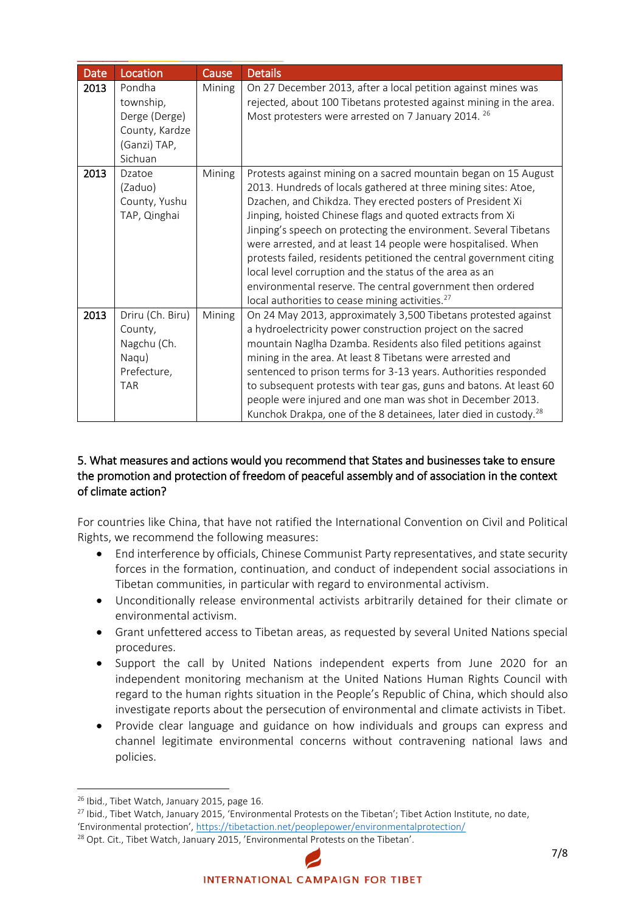| <b>Date</b> | Location                                                                          | Cause  | <b>Details</b>                                                                                                                                                                                                                                                                                                                                                                                                                                                                                                                                                                                                                                                    |
|-------------|-----------------------------------------------------------------------------------|--------|-------------------------------------------------------------------------------------------------------------------------------------------------------------------------------------------------------------------------------------------------------------------------------------------------------------------------------------------------------------------------------------------------------------------------------------------------------------------------------------------------------------------------------------------------------------------------------------------------------------------------------------------------------------------|
| 2013        | Pondha<br>township,<br>Derge (Derge)<br>County, Kardze<br>(Ganzi) TAP,<br>Sichuan | Mining | On 27 December 2013, after a local petition against mines was<br>rejected, about 100 Tibetans protested against mining in the area.<br>Most protesters were arrested on 7 January 2014. 26                                                                                                                                                                                                                                                                                                                                                                                                                                                                        |
| 2013        | Dzatoe<br>(Zaduo)<br>County, Yushu<br>TAP, Qinghai                                | Mining | Protests against mining on a sacred mountain began on 15 August<br>2013. Hundreds of locals gathered at three mining sites: Atoe,<br>Dzachen, and Chikdza. They erected posters of President Xi<br>Jinping, hoisted Chinese flags and quoted extracts from Xi<br>Jinping's speech on protecting the environment. Several Tibetans<br>were arrested, and at least 14 people were hospitalised. When<br>protests failed, residents petitioned the central government citing<br>local level corruption and the status of the area as an<br>environmental reserve. The central government then ordered<br>local authorities to cease mining activities. <sup>27</sup> |
| 2013        | Driru (Ch. Biru)<br>County,<br>Nagchu (Ch.<br>Naqu)<br>Prefecture,<br><b>TAR</b>  | Mining | On 24 May 2013, approximately 3,500 Tibetans protested against<br>a hydroelectricity power construction project on the sacred<br>mountain Naglha Dzamba. Residents also filed petitions against<br>mining in the area. At least 8 Tibetans were arrested and<br>sentenced to prison terms for 3-13 years. Authorities responded<br>to subsequent protests with tear gas, guns and batons. At least 60<br>people were injured and one man was shot in December 2013.<br>Kunchok Drakpa, one of the 8 detainees, later died in custody. <sup>28</sup>                                                                                                               |

## 5. What measures and actions would you recommend that States and businesses take to ensure the promotion and protection of freedom of peaceful assembly and of association in the context of climate action?

For countries like China, that have not ratified the International Convention on Civil and Political Rights, we recommend the following measures:

- End interference by officials, Chinese Communist Party representatives, and state security forces in the formation, continuation, and conduct of independent social associations in Tibetan communities, in particular with regard to environmental activism.
- Unconditionally release environmental activists arbitrarily detained for their climate or environmental activism.
- Grant unfettered access to Tibetan areas, as requested by several United Nations special procedures.
- Support the call by United Nations independent experts from June 2020 for an independent monitoring mechanism at the United Nations Human Rights Council with regard to the human rights situation in the People's Republic of China, which should also investigate reports about the persecution of environmental and climate activists in Tibet.
- Provide clear language and guidance on how individuals and groups can express and channel legitimate environmental concerns without contravening national laws and policies.

<sup>&</sup>lt;sup>26</sup> Ibid., Tibet Watch, January 2015, page 16.

<sup>&</sup>lt;sup>27</sup> Ibid., Tibet Watch, January 2015, 'Environmental Protests on the Tibetan'; Tibet Action Institute, no date, 'Environmental protection', <https://tibetaction.net/peoplepower/environmentalprotection/>

<sup>&</sup>lt;sup>28</sup> Opt. Cit., Tibet Watch, January 2015, 'Environmental Protests on the Tibetan'.